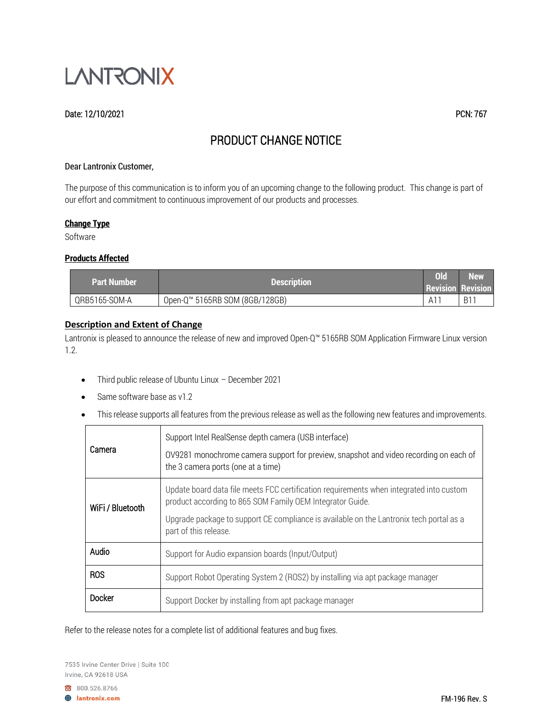

#### Date: 12/10/2021 PCN: 767

# PRODUCT CHANGE NOTICE

#### Dear Lantronix Customer,

The purpose of this communication is to inform you of an upcoming change to the following product. This change is part of our effort and commitment to continuous improvement of our products and processes.

#### **Change Type**

Software

#### **Products Affected**

| <b>Part Number</b> | <b>Description</b>             | Old            | <b>New</b><br><b>Revision Revision</b> |
|--------------------|--------------------------------|----------------|----------------------------------------|
| QRB5165-SOM-A      | Open-Q™ 5165RB SOM (8GB/128GB) | $A1^{\dagger}$ | <b>B1</b>                              |

#### **Description and Extent of Change**

Lantronix is pleased to announce the release of new and improved Open-Q™ 5165RB SOM Application Firmware Linux version 1.2.

- Third public release of Ubuntu Linux December 2021
- Same software base as v1.2
- This release supports all features from the previous release as well as the following new features and improvements.

| Camera           | Support Intel RealSense depth camera (USB interface)<br>OV9281 monochrome camera support for preview, snapshot and video recording on each of<br>the 3 camera ports (one at a time)                                                                                      |  |
|------------------|--------------------------------------------------------------------------------------------------------------------------------------------------------------------------------------------------------------------------------------------------------------------------|--|
| WiFi / Bluetooth | Update board data file meets FCC certification requirements when integrated into custom<br>product according to 865 SOM Family OEM Integrator Guide.<br>Upgrade package to support CE compliance is available on the Lantronix tech portal as a<br>part of this release. |  |
| Audio            | Support for Audio expansion boards (Input/Output)                                                                                                                                                                                                                        |  |
| <b>ROS</b>       | Support Robot Operating System 2 (ROS2) by installing via apt package manager                                                                                                                                                                                            |  |
| Docker           | Support Docker by installing from apt package manager                                                                                                                                                                                                                    |  |

Refer to the release notes for a complete list of additional features and bug fixes.

800.526.8766

**A** lantronix.com